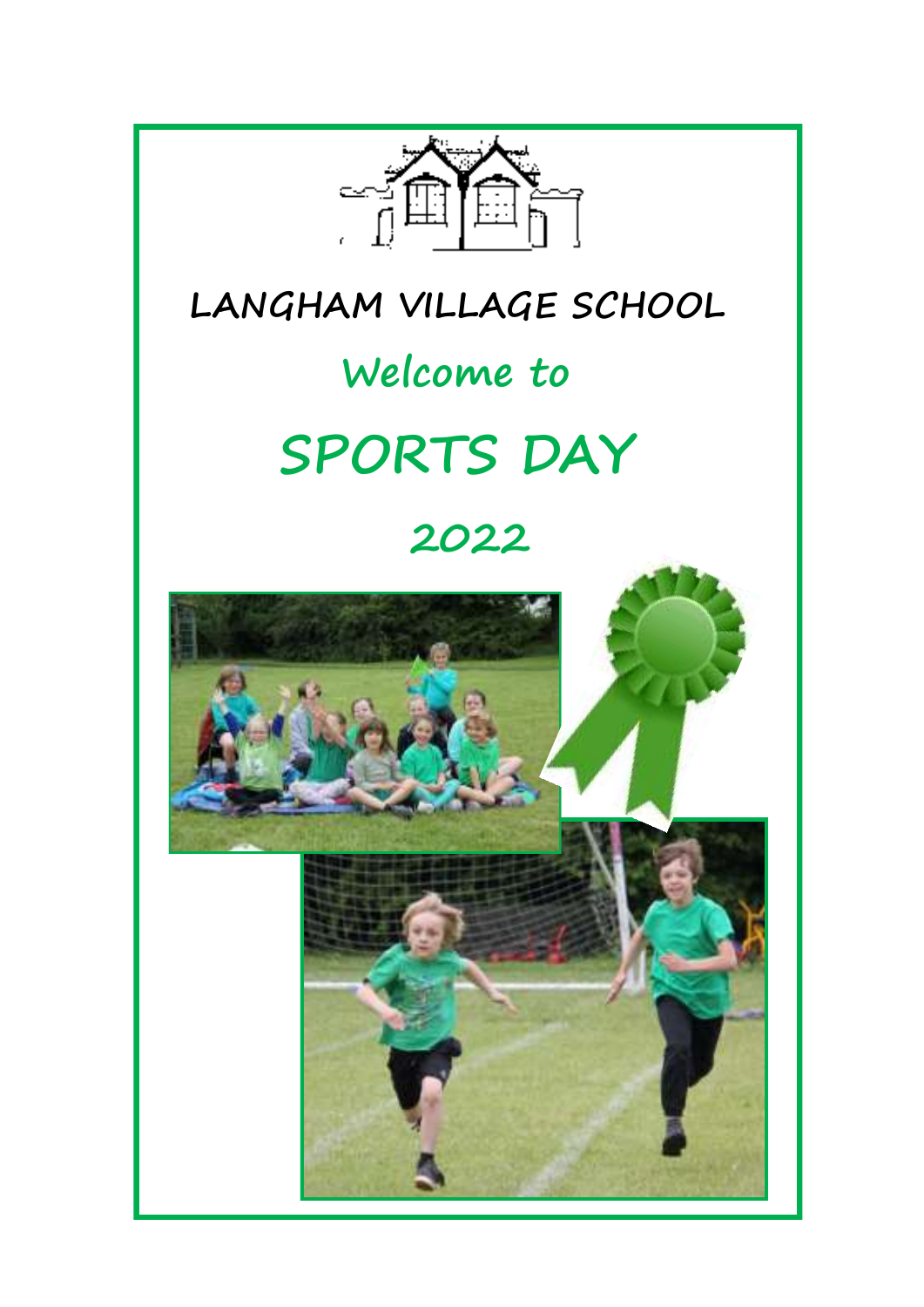

## **LANGHAM VILLAGE SCHOOL**

# **Welcome to**

# **SPORTS DAY**

#### **2022**

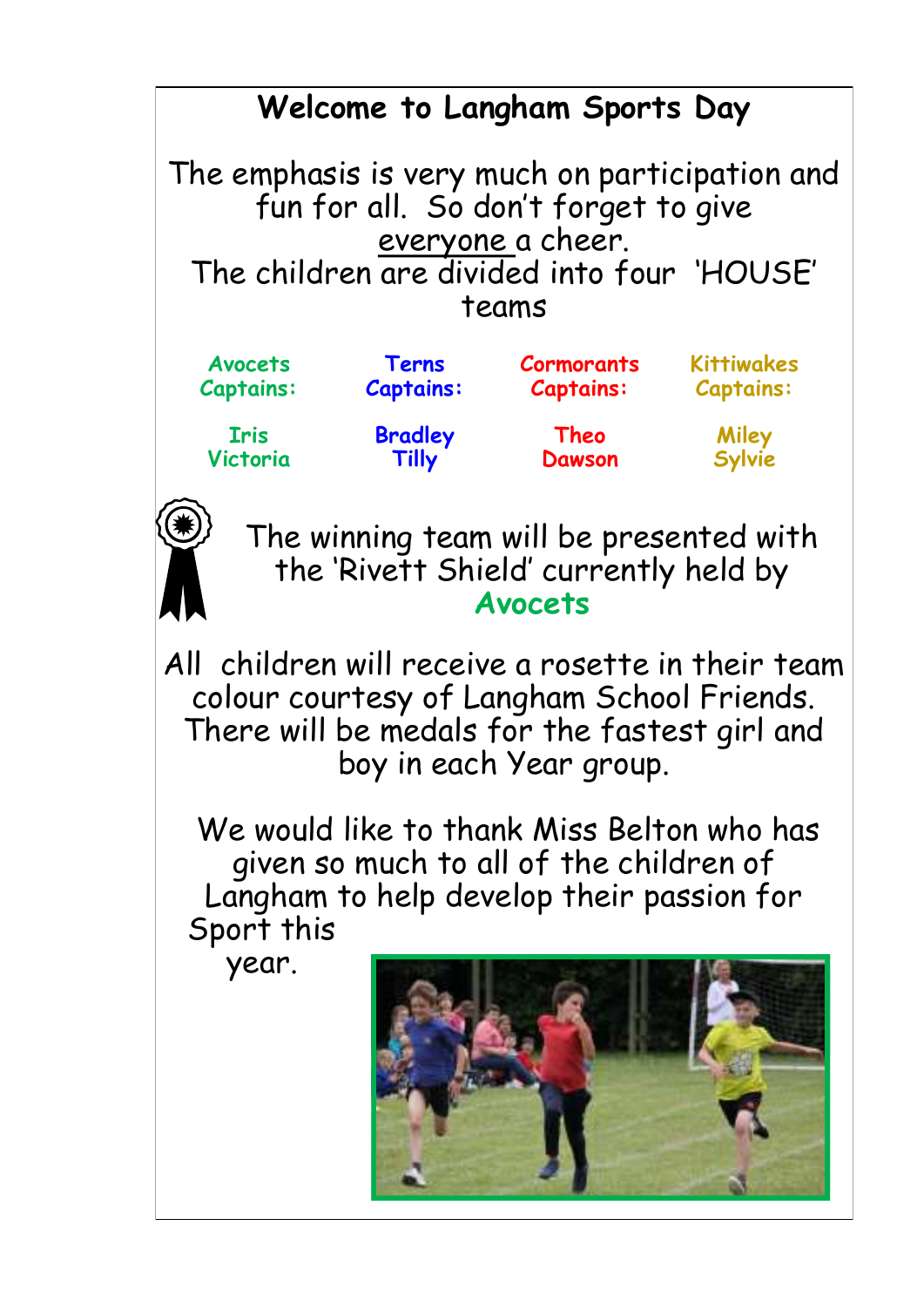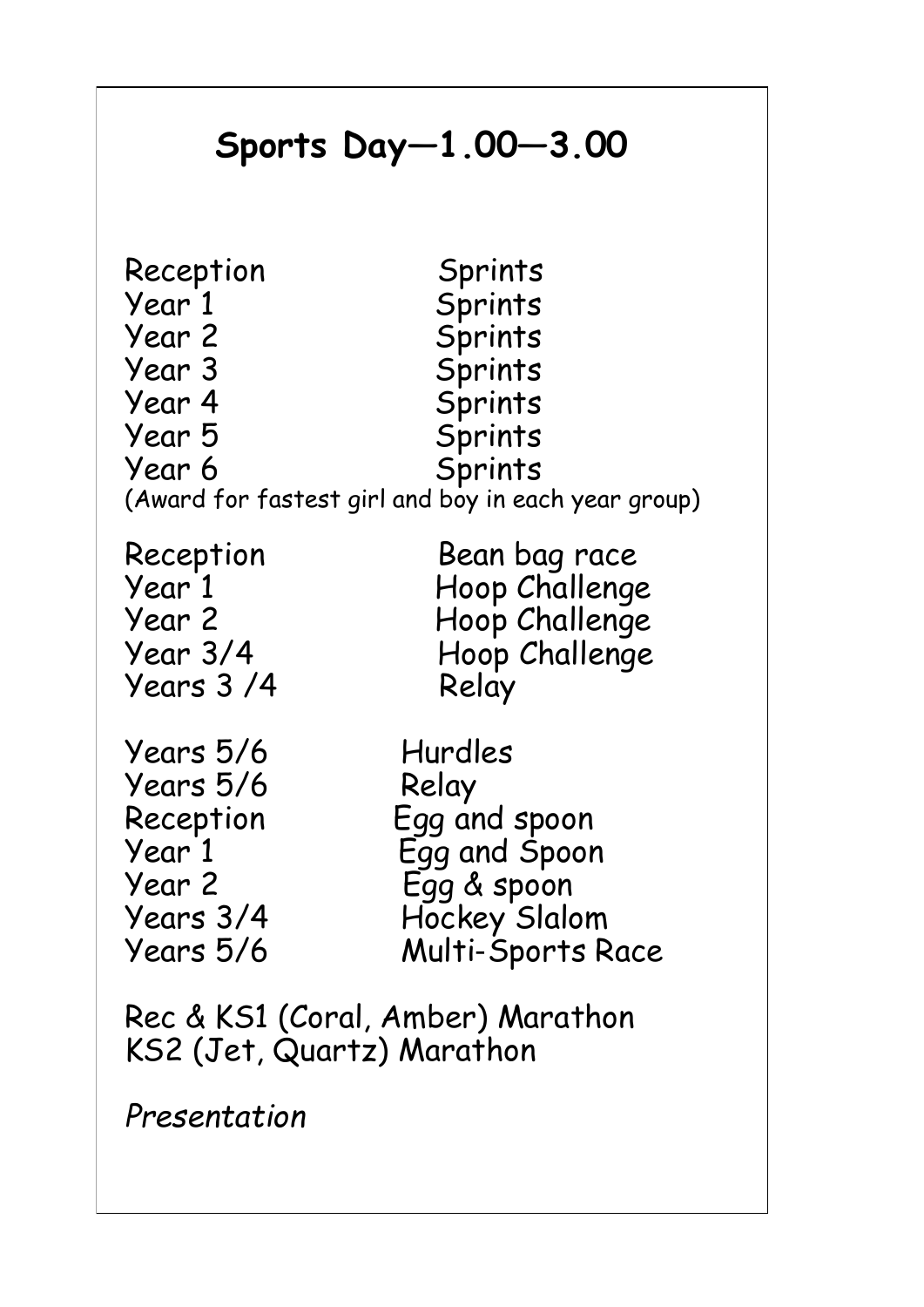## **Sports Day—1.00—3.00**

| Reception<br>Year 1<br>Year 2<br>Year 3<br>Year 4<br>Year 5<br>Year 6 | Sprints<br>Sprints<br>Sprints<br>Sprints<br>Sprints<br>Sprints<br>Sprints<br>(Award for fastest girl and boy in each year group) |
|-----------------------------------------------------------------------|----------------------------------------------------------------------------------------------------------------------------------|
| Reception                                                             | Bean bag race                                                                                                                    |
| Year 1                                                                | Hoop Challenge                                                                                                                   |
| Year 2                                                                | Hoop Challenge                                                                                                                   |
| Year 3/4                                                              | Hoop Challenge                                                                                                                   |
| Years 3/4                                                             | Relay                                                                                                                            |
| Years 5/6                                                             | Hurdles                                                                                                                          |
| Years 5/6                                                             | Relay                                                                                                                            |
| Reception                                                             | Egg and spoon                                                                                                                    |
| Year 1                                                                | Egg and Spoon                                                                                                                    |
| Year 2                                                                | Egg & spoon                                                                                                                      |
| Years 3/4                                                             | Hockey Slalom                                                                                                                    |
| Years 5/6                                                             | Multi-Sports Race                                                                                                                |
| Rec & KS1 (Coral, Amber) Marathon<br>KS2 (Jet, Quartz) Marathon       |                                                                                                                                  |

*Presentation*